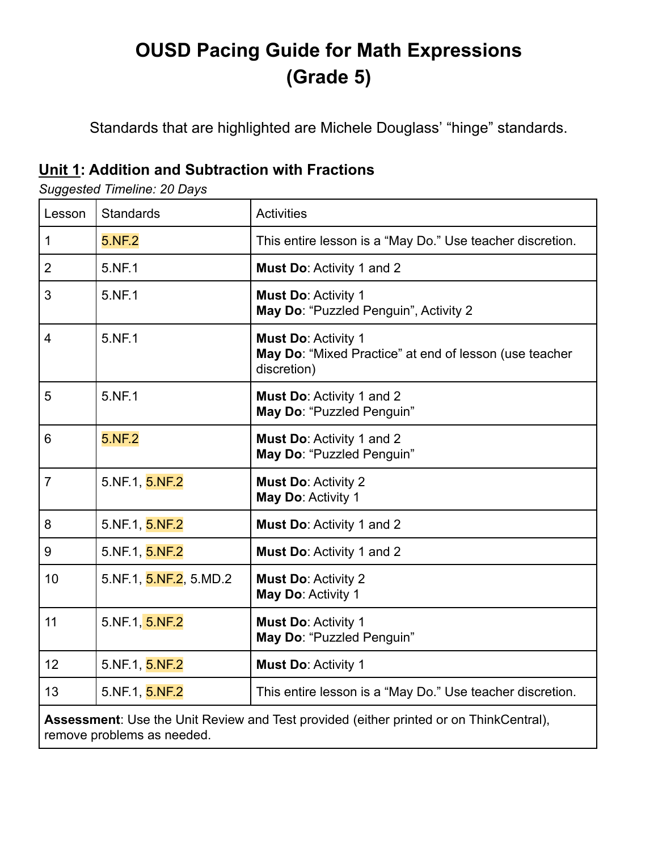# **OUSD Pacing Guide for Math Expressions (Grade 5)**

Standards that are highlighted are Michele Douglass' "hinge" standards.

### **Unit 1: Addition and Subtraction with Fractions**

*Suggested Timeline: 20 Days*

| Lesson                                                                                                               | <b>Standards</b>       | <b>Activities</b>                                                                                   |
|----------------------------------------------------------------------------------------------------------------------|------------------------|-----------------------------------------------------------------------------------------------------|
| 1                                                                                                                    | 5.NF.2                 | This entire lesson is a "May Do." Use teacher discretion.                                           |
| $\overline{2}$                                                                                                       | 5.NF.1                 | Must Do: Activity 1 and 2                                                                           |
| 3                                                                                                                    | 5.NF.1                 | Must Do: Activity 1<br>May Do: "Puzzled Penguin", Activity 2                                        |
| $\overline{4}$                                                                                                       | 5.NF.1                 | <b>Must Do: Activity 1</b><br>May Do: "Mixed Practice" at end of lesson (use teacher<br>discretion) |
| 5                                                                                                                    | 5.NF.1                 | <b>Must Do: Activity 1 and 2</b><br>May Do: "Puzzled Penguin"                                       |
| 6                                                                                                                    | 5.NF.2                 | Must Do: Activity 1 and 2<br>May Do: "Puzzled Penguin"                                              |
| $\overline{7}$                                                                                                       | 5.NF.1, 5.NF.2         | <b>Must Do: Activity 2</b><br>May Do: Activity 1                                                    |
| 8                                                                                                                    | 5.NF.1, 5.NF.2         | Must Do: Activity 1 and 2                                                                           |
| 9                                                                                                                    | 5.NF.1, 5.NF.2         | <b>Must Do: Activity 1 and 2</b>                                                                    |
| 10                                                                                                                   | 5.NF.1, 5.NF.2, 5.MD.2 | <b>Must Do: Activity 2</b><br>May Do: Activity 1                                                    |
| 11                                                                                                                   | 5.NF.1, 5.NF.2         | <b>Must Do: Activity 1</b><br>May Do: "Puzzled Penguin"                                             |
| 12                                                                                                                   | 5.NF.1, 5.NF.2         | <b>Must Do: Activity 1</b>                                                                          |
| 13                                                                                                                   | 5.NF.1, 5.NF.2         | This entire lesson is a "May Do." Use teacher discretion.                                           |
| Assessment: Use the Unit Review and Test provided (either printed or on ThinkCentral),<br>remove problems as needed. |                        |                                                                                                     |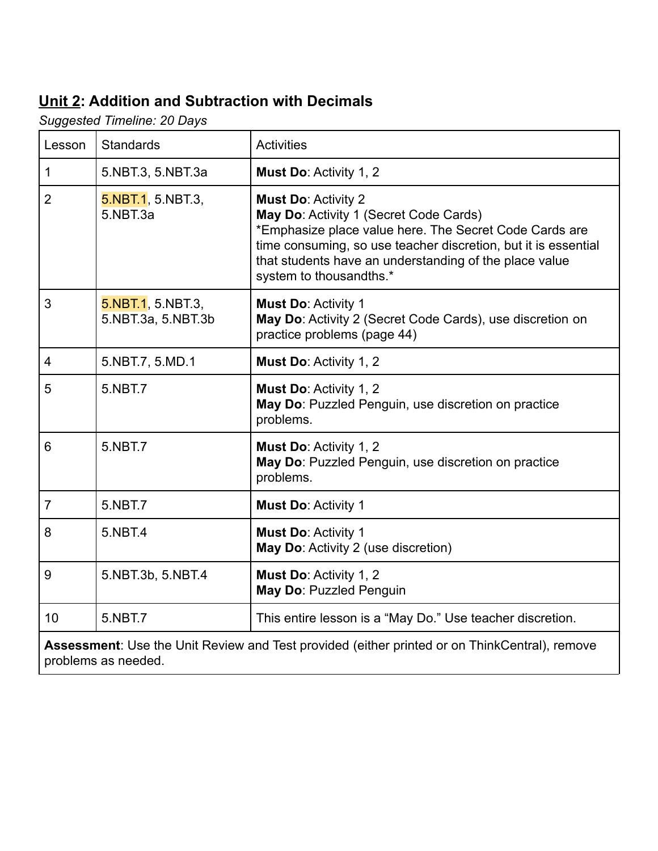### **Unit 2: Addition and Subtraction with Decimals**

*Suggested Timeline: 20 Days*

| Lesson                                                                                        | <b>Standards</b>                        | <b>Activities</b>                                                                                                                                                                                                                                                                     |
|-----------------------------------------------------------------------------------------------|-----------------------------------------|---------------------------------------------------------------------------------------------------------------------------------------------------------------------------------------------------------------------------------------------------------------------------------------|
| $\mathbf{1}$                                                                                  | 5.NBT.3, 5.NBT.3a                       | Must Do: Activity 1, 2                                                                                                                                                                                                                                                                |
| $\overline{2}$                                                                                | 5.NBT.1, 5.NBT.3,<br>5.NBT.3a           | <b>Must Do: Activity 2</b><br>May Do: Activity 1 (Secret Code Cards)<br>*Emphasize place value here. The Secret Code Cards are<br>time consuming, so use teacher discretion, but it is essential<br>that students have an understanding of the place value<br>system to thousandths.* |
| 3                                                                                             | 5.NBT.1, 5.NBT.3,<br>5.NBT.3a, 5.NBT.3b | <b>Must Do: Activity 1</b><br>May Do: Activity 2 (Secret Code Cards), use discretion on<br>practice problems (page 44)                                                                                                                                                                |
| $\overline{4}$                                                                                | 5.NBT.7, 5.MD.1                         | Must Do: Activity 1, 2                                                                                                                                                                                                                                                                |
| 5                                                                                             | 5.NBT.7                                 | <b>Must Do: Activity 1, 2</b><br>May Do: Puzzled Penguin, use discretion on practice<br>problems.                                                                                                                                                                                     |
| 6                                                                                             | 5.NBT.7                                 | Must Do: Activity 1, 2<br>May Do: Puzzled Penguin, use discretion on practice<br>problems.                                                                                                                                                                                            |
| $\overline{7}$                                                                                | 5.NBT.7                                 | <b>Must Do: Activity 1</b>                                                                                                                                                                                                                                                            |
| 8                                                                                             | 5.NBT.4                                 | <b>Must Do: Activity 1</b><br>May Do: Activity 2 (use discretion)                                                                                                                                                                                                                     |
| 9                                                                                             | 5.NBT.3b, 5.NBT.4                       | Must Do: Activity 1, 2<br>May Do: Puzzled Penguin                                                                                                                                                                                                                                     |
| 10                                                                                            | 5.NBT.7                                 | This entire lesson is a "May Do." Use teacher discretion.                                                                                                                                                                                                                             |
| Assessment: Use the Unit Review and Test provided (either printed or on ThinkCentral), remove |                                         |                                                                                                                                                                                                                                                                                       |

problems as needed.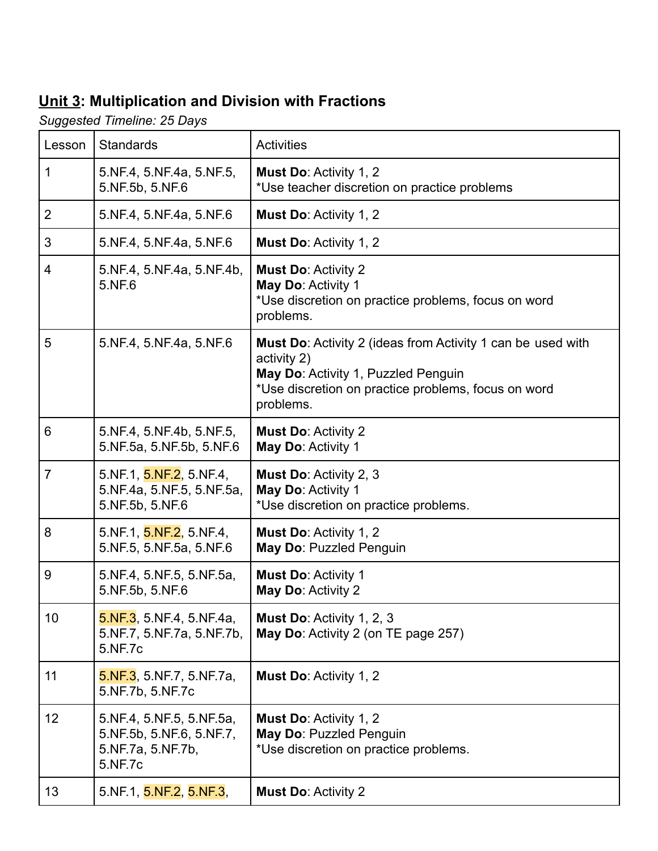# **Unit 3: Multiplication and Division with Fractions**

*Suggested Timeline: 25 Days*

| Lesson         | <b>Standards</b>                                                                     | <b>Activities</b>                                                                                                                                                                     |
|----------------|--------------------------------------------------------------------------------------|---------------------------------------------------------------------------------------------------------------------------------------------------------------------------------------|
| 1              | 5.NF.4, 5.NF.4a, 5.NF.5,<br>5.NF.5b, 5.NF.6                                          | <b>Must Do: Activity 1, 2</b><br>*Use teacher discretion on practice problems                                                                                                         |
| 2              | 5.NF.4, 5.NF.4a, 5.NF.6                                                              | <b>Must Do: Activity 1, 2</b>                                                                                                                                                         |
| 3              | 5.NF.4, 5.NF.4a, 5.NF.6                                                              | <b>Must Do: Activity 1, 2</b>                                                                                                                                                         |
| 4              | 5.NF.4, 5.NF.4a, 5.NF.4b,<br>5.NF.6                                                  | <b>Must Do: Activity 2</b><br>May Do: Activity 1<br>*Use discretion on practice problems, focus on word<br>problems.                                                                  |
| 5              | 5.NF.4, 5.NF.4a, 5.NF.6                                                              | Must Do: Activity 2 (ideas from Activity 1 can be used with<br>activity 2)<br>May Do: Activity 1, Puzzled Penguin<br>*Use discretion on practice problems, focus on word<br>problems. |
| 6              | 5.NF.4, 5.NF.4b, 5.NF.5,<br>5.NF.5a, 5.NF.5b, 5.NF.6                                 | <b>Must Do: Activity 2</b><br>May Do: Activity 1                                                                                                                                      |
| $\overline{7}$ | 5.NF.1, 5.NF.2, 5.NF.4,<br>5.NF.4a, 5.NF.5, 5.NF.5a,<br>5.NF.5b, 5.NF.6              | <b>Must Do: Activity 2, 3</b><br>May Do: Activity 1<br>*Use discretion on practice problems.                                                                                          |
| 8              | 5.NF.1, 5.NF.2, 5.NF.4,<br>5.NF.5, 5.NF.5a, 5.NF.6                                   | <b>Must Do: Activity 1, 2</b><br>May Do: Puzzled Penguin                                                                                                                              |
| 9              | 5.NF.4, 5.NF.5, 5.NF.5a,<br>5.NF.5b, 5.NF.6                                          | <b>Must Do: Activity 1</b><br>May Do: Activity 2                                                                                                                                      |
| 10             | 5.NF.3, 5.NF.4, 5.NF.4a,<br>5.NF.7, 5.NF.7a, 5.NF.7b,<br>5.NF.7c                     | Must Do: Activity 1, 2, 3<br>May Do: Activity 2 (on TE page 257)                                                                                                                      |
| 11             | $5.$ NF.3, 5. NF.7, 5. NF.7a,<br>5.NF.7b, 5.NF.7c                                    | <b>Must Do: Activity 1, 2</b>                                                                                                                                                         |
| 12             | 5.NF.4, 5.NF.5, 5.NF.5a,<br>5.NF.5b, 5.NF.6, 5.NF.7,<br>5.NF.7a, 5.NF.7b,<br>5.NF.7c | <b>Must Do: Activity 1, 2</b><br>May Do: Puzzled Penguin<br>*Use discretion on practice problems.                                                                                     |
| 13             | 5.NF.1, 5.NF.2, 5.NF.3,                                                              | <b>Must Do: Activity 2</b>                                                                                                                                                            |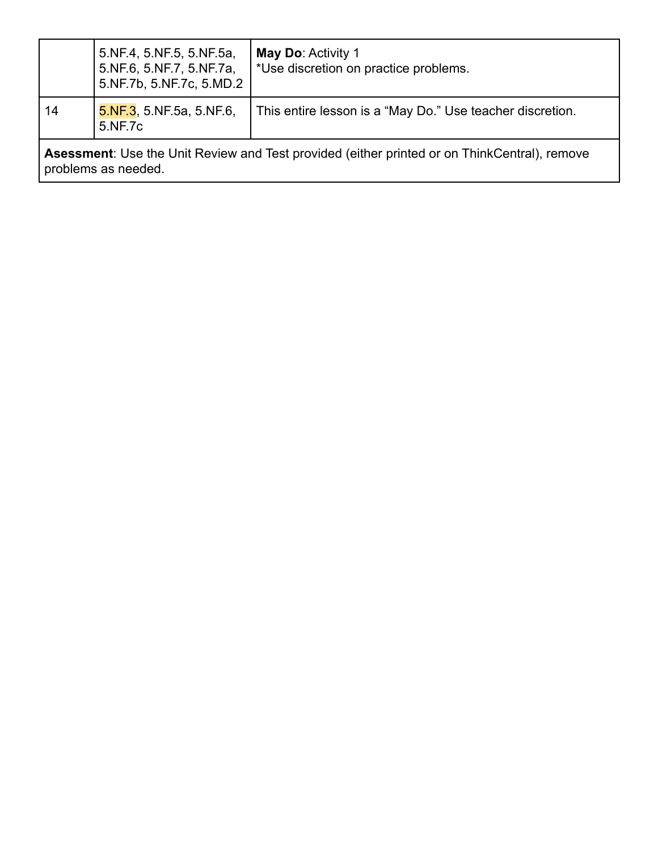|                                                                                                     | 5.NF.4, 5.NF.5, 5.NF.5a,<br>5.NF.6, 5.NF.7, 5.NF.7a,<br>5.NF.7b, 5.NF.7c, 5.MD.2 | <b>May Do: Activity 1</b><br>*Use discretion on practice problems. |
|-----------------------------------------------------------------------------------------------------|----------------------------------------------------------------------------------|--------------------------------------------------------------------|
| 14                                                                                                  | $5.$ NF.3, 5. NF.5a, 5. NF.6,<br>5.NF.7c                                         | This entire lesson is a "May Do." Use teacher discretion.          |
| <b>Asessment:</b> Use the Unit Review and Test provided (either printed or on ThinkCentral), remove |                                                                                  |                                                                    |

problems as needed.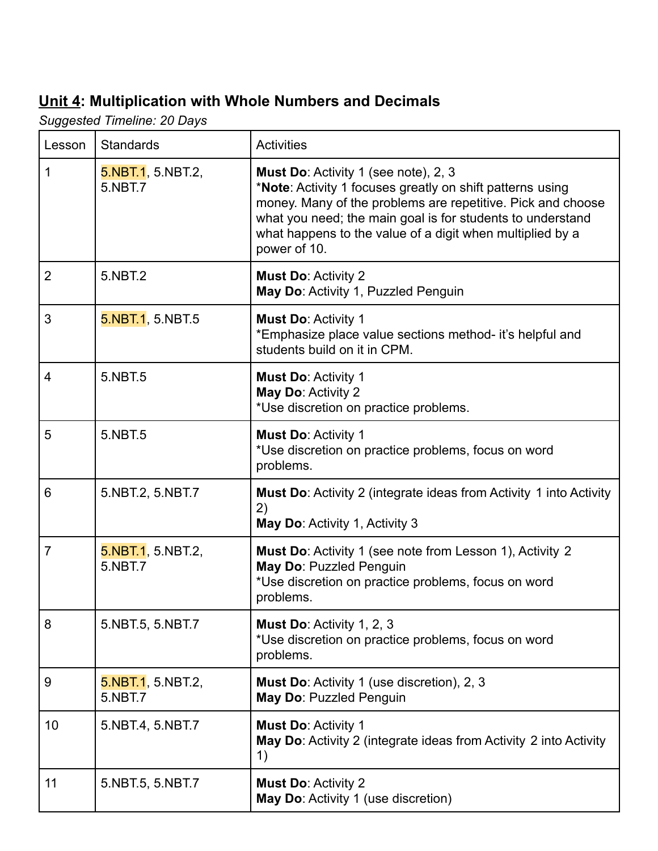## **Unit 4: Multiplication with Whole Numbers and Decimals**

*Suggested Timeline: 20 Days*

| Lesson         | <b>Standards</b>             | <b>Activities</b>                                                                                                                                                                                                                                                                                           |
|----------------|------------------------------|-------------------------------------------------------------------------------------------------------------------------------------------------------------------------------------------------------------------------------------------------------------------------------------------------------------|
| 1              | 5.NBT.1, 5.NBT.2,<br>5.NBT.7 | Must Do: Activity 1 (see note), 2, 3<br>*Note: Activity 1 focuses greatly on shift patterns using<br>money. Many of the problems are repetitive. Pick and choose<br>what you need; the main goal is for students to understand<br>what happens to the value of a digit when multiplied by a<br>power of 10. |
| $\overline{2}$ | 5.NBT.2                      | <b>Must Do: Activity 2</b><br>May Do: Activity 1, Puzzled Penguin                                                                                                                                                                                                                                           |
| 3              | 5.NBT.1, 5.NBT.5             | <b>Must Do: Activity 1</b><br>*Emphasize place value sections method- it's helpful and<br>students build on it in CPM.                                                                                                                                                                                      |
| $\overline{4}$ | 5.NBT.5                      | <b>Must Do: Activity 1</b><br>May Do: Activity 2<br>*Use discretion on practice problems.                                                                                                                                                                                                                   |
| 5              | 5.NBT.5                      | <b>Must Do: Activity 1</b><br>*Use discretion on practice problems, focus on word<br>problems.                                                                                                                                                                                                              |
| 6              | 5.NBT.2, 5.NBT.7             | <b>Must Do:</b> Activity 2 (integrate ideas from Activity 1 into Activity<br>2)<br>May Do: Activity 1, Activity 3                                                                                                                                                                                           |
| $\overline{7}$ | 5.NBT.1, 5.NBT.2,<br>5.NBT.7 | <b>Must Do:</b> Activity 1 (see note from Lesson 1), Activity 2<br>May Do: Puzzled Penguin<br>*Use discretion on practice problems, focus on word<br>problems.                                                                                                                                              |
| 8              | 5.NBT.5, 5.NBT.7             | <b>Must Do: Activity 1, 2, 3</b><br>*Use discretion on practice problems, focus on word<br>problems.                                                                                                                                                                                                        |
| 9              | 5.NBT.1, 5.NBT.2,<br>5.NBT.7 | <b>Must Do:</b> Activity 1 (use discretion), 2, 3<br>May Do: Puzzled Penguin                                                                                                                                                                                                                                |
| 10             | 5.NBT.4, 5.NBT.7             | <b>Must Do: Activity 1</b><br>May Do: Activity 2 (integrate ideas from Activity 2 into Activity<br>1)                                                                                                                                                                                                       |
| 11             | 5.NBT.5, 5.NBT.7             | <b>Must Do: Activity 2</b><br>May Do: Activity 1 (use discretion)                                                                                                                                                                                                                                           |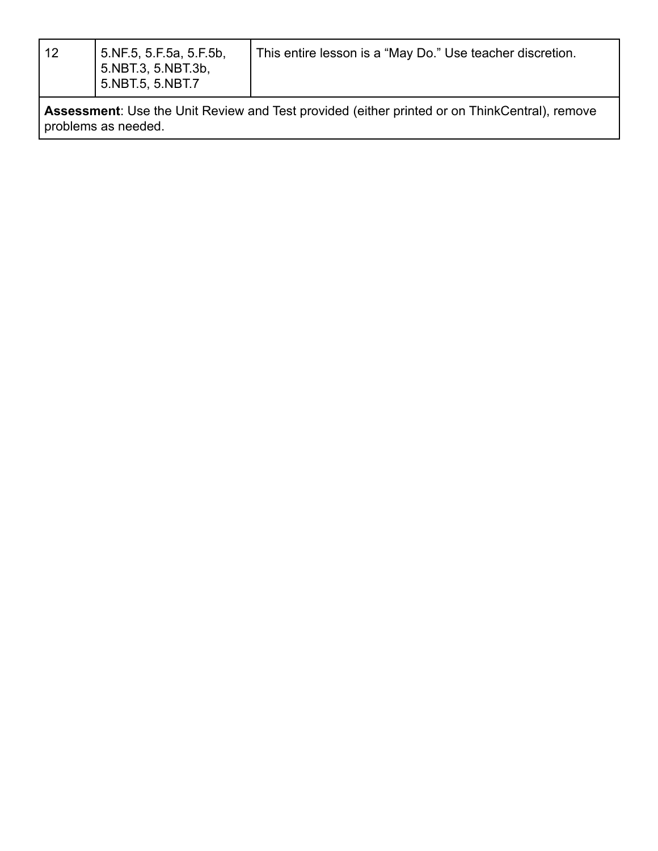| I |
|---|
|   |

**Assessment**: Use the Unit Review and Test provided (either printed or on ThinkCentral), remove problems as needed.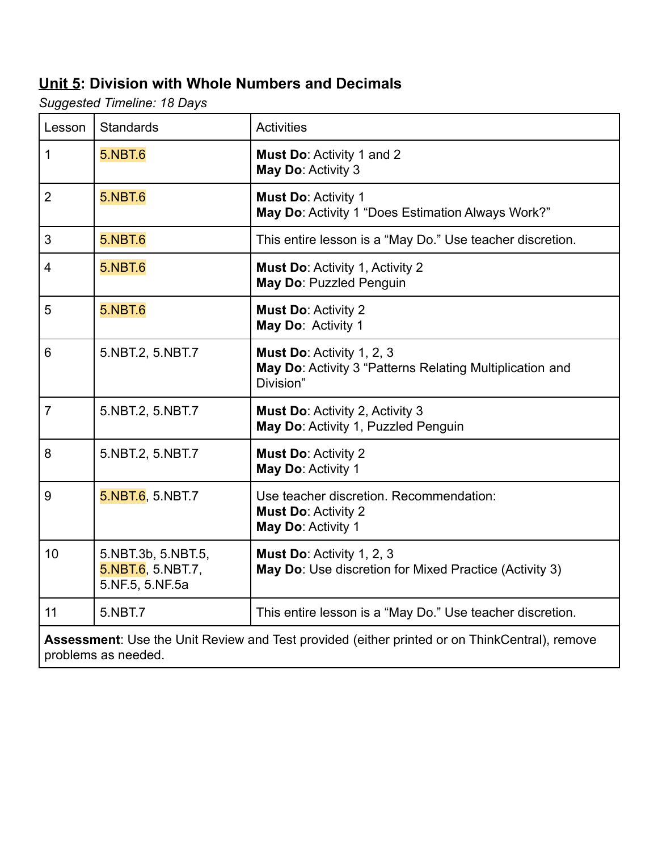#### **Unit 5: Division with Whole Numbers and Decimals**

*Suggested Timeline: 18 Days*

| Lesson                                                                                                                      | <b>Standards</b>                                           | <b>Activities</b>                                                                                  |
|-----------------------------------------------------------------------------------------------------------------------------|------------------------------------------------------------|----------------------------------------------------------------------------------------------------|
| 1                                                                                                                           | <b>5.NBT.6</b>                                             | Must Do: Activity 1 and 2<br>May Do: Activity 3                                                    |
| $\overline{2}$                                                                                                              | <b>5.NBT.6</b>                                             | Must Do: Activity 1<br>May Do: Activity 1 "Does Estimation Always Work?"                           |
| 3                                                                                                                           | <b>5.NBT.6</b>                                             | This entire lesson is a "May Do." Use teacher discretion.                                          |
| $\overline{4}$                                                                                                              | <b>5.NBT.6</b>                                             | <b>Must Do: Activity 1, Activity 2</b><br>May Do: Puzzled Penguin                                  |
| 5                                                                                                                           | <b>5.NBT.6</b>                                             | <b>Must Do: Activity 2</b><br>May Do: Activity 1                                                   |
| 6                                                                                                                           | 5.NBT.2, 5.NBT.7                                           | Must Do: Activity 1, 2, 3<br>May Do: Activity 3 "Patterns Relating Multiplication and<br>Division" |
| $\overline{7}$                                                                                                              | 5.NBT.2, 5.NBT.7                                           | <b>Must Do: Activity 2, Activity 3</b><br>May Do: Activity 1, Puzzled Penguin                      |
| 8                                                                                                                           | 5.NBT.2, 5.NBT.7                                           | <b>Must Do: Activity 2</b><br>May Do: Activity 1                                                   |
| 9                                                                                                                           | 5.NBT.6, 5.NBT.7                                           | Use teacher discretion. Recommendation:<br><b>Must Do: Activity 2</b><br>May Do: Activity 1        |
| 10                                                                                                                          | 5.NBT.3b, 5.NBT.5,<br>5.NBT.6, 5.NBT.7,<br>5.NF.5, 5.NF.5a | Must Do: Activity 1, 2, 3<br>May Do: Use discretion for Mixed Practice (Activity 3)                |
| 11                                                                                                                          | 5.NBT.7                                                    | This entire lesson is a "May Do." Use teacher discretion.                                          |
| <b>Assessment:</b> Use the Unit Review and Test provided (either printed or on ThinkCentral), remove<br>problems as needed. |                                                            |                                                                                                    |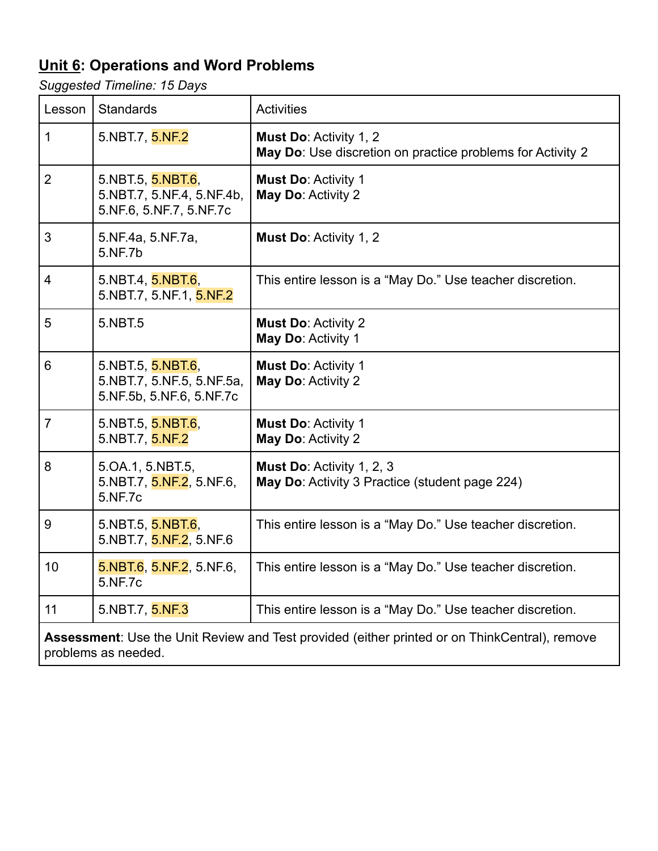## **Unit 6: Operations and Word Problems**

*Suggested Timeline: 15 Days*

| Lesson                                                                                                               | <b>Standards</b>                                                           | <b>Activities</b>                                                                           |
|----------------------------------------------------------------------------------------------------------------------|----------------------------------------------------------------------------|---------------------------------------------------------------------------------------------|
| $\mathbf 1$                                                                                                          | 5.NBT.7, 5.NF.2                                                            | <b>Must Do: Activity 1, 2</b><br>May Do: Use discretion on practice problems for Activity 2 |
| $\overline{2}$                                                                                                       | 5.NBT.5, 5.NBT.6,<br>5.NBT.7, 5.NF.4, 5.NF.4b,<br>5.NF.6, 5.NF.7, 5.NF.7c  | <b>Must Do: Activity 1</b><br>May Do: Activity 2                                            |
| 3                                                                                                                    | 5.NF.4a, 5.NF.7a,<br>5.NF.7b                                               | Must Do: Activity 1, 2                                                                      |
| 4                                                                                                                    | 5.NBT.4, 5.NBT.6,<br>5.NBT.7, 5.NF.1, 5.NF.2                               | This entire lesson is a "May Do." Use teacher discretion.                                   |
| 5                                                                                                                    | 5.NBT.5                                                                    | <b>Must Do: Activity 2</b><br>May Do: Activity 1                                            |
| 6                                                                                                                    | 5.NBT.5, 5.NBT.6,<br>5.NBT.7, 5.NF.5, 5.NF.5a,<br>5.NF.5b, 5.NF.6, 5.NF.7c | <b>Must Do: Activity 1</b><br>May Do: Activity 2                                            |
| $\overline{7}$                                                                                                       | 5.NBT.5, 5.NBT.6,<br>5.NBT.7, 5.NF.2                                       | <b>Must Do: Activity 1</b><br>May Do: Activity 2                                            |
| 8                                                                                                                    | 5.OA.1, 5.NBT.5,<br>5.NBT.7, 5.NF.2, 5.NF.6,<br>5.NF.7c                    | Must Do: Activity 1, 2, 3<br>May Do: Activity 3 Practice (student page 224)                 |
| 9                                                                                                                    | 5.NBT.5, 5.NBT.6,<br>5.NBT.7, 5.NF.2, 5.NF.6                               | This entire lesson is a "May Do." Use teacher discretion.                                   |
| 10                                                                                                                   | 5.NBT.6, 5.NF.2, 5.NF.6,<br>5.NF.7c                                        | This entire lesson is a "May Do." Use teacher discretion.                                   |
| 11                                                                                                                   | 5.NBT.7, 5.NF.3                                                            | This entire lesson is a "May Do." Use teacher discretion.                                   |
| Assessment: Use the Unit Review and Test provided (either printed or on ThinkCentral), remove<br>problems as needed. |                                                                            |                                                                                             |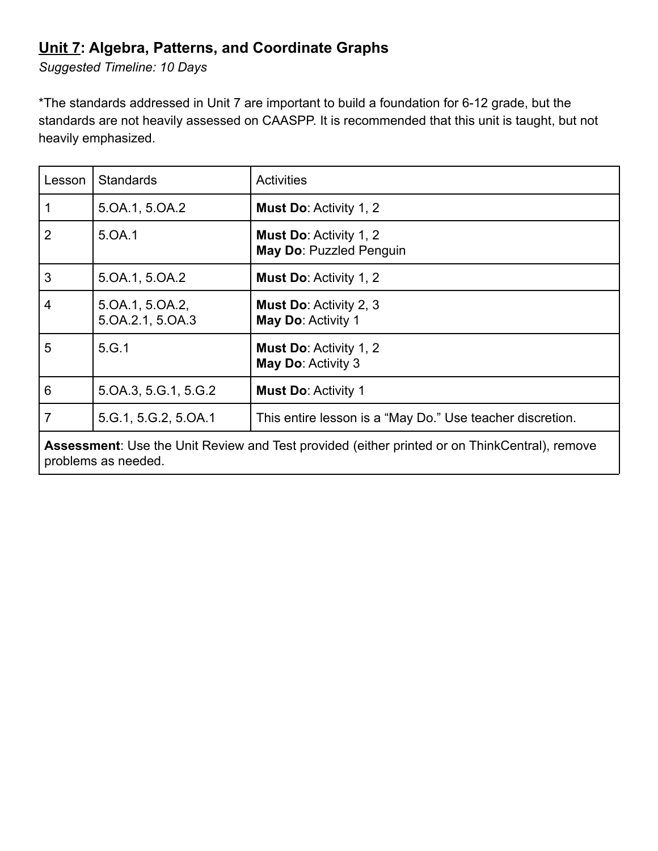#### **Unit 7: Algebra, Patterns, and Coordinate Graphs**

*Suggested Timeline: 10 Days*

\*The standards addressed in Unit 7 are important to build a foundation for 6-12 grade, but the standards are not heavily assessed on CAASPP. It is recommended that this unit is taught, but not heavily emphasized.

| Lesson                                                                                               | <b>Standards</b>                    | <b>Activities</b>                                         |
|------------------------------------------------------------------------------------------------------|-------------------------------------|-----------------------------------------------------------|
| $\mathbf 1$                                                                                          | 5.0A.1, 5.0A.2                      | <b>Must Do: Activity 1, 2</b>                             |
| 2                                                                                                    | 5.OA.1                              | <b>Must Do: Activity 1, 2</b><br>May Do: Puzzled Penguin  |
| 3                                                                                                    | 5.0A.1, 5.0A.2                      | <b>Must Do: Activity 1, 2</b>                             |
| $\overline{4}$                                                                                       | 5.0A.1, 5.0A.2,<br>5.0A.2.1, 5.0A.3 | <b>Must Do: Activity 2, 3</b><br>May Do: Activity 1       |
| 5                                                                                                    | 5.G.1                               | <b>Must Do: Activity 1, 2</b><br>May Do: Activity 3       |
| 6                                                                                                    | 5.0A.3, 5.G.1, 5.G.2                | <b>Must Do: Activity 1</b>                                |
| $\overline{7}$                                                                                       | 5.G.1, 5.G.2, 5.OA.1                | This entire lesson is a "May Do." Use teacher discretion. |
| <b>Assessment:</b> Use the Unit Review and Test provided (either printed or on ThinkCentral), remove |                                     |                                                           |

problems as needed.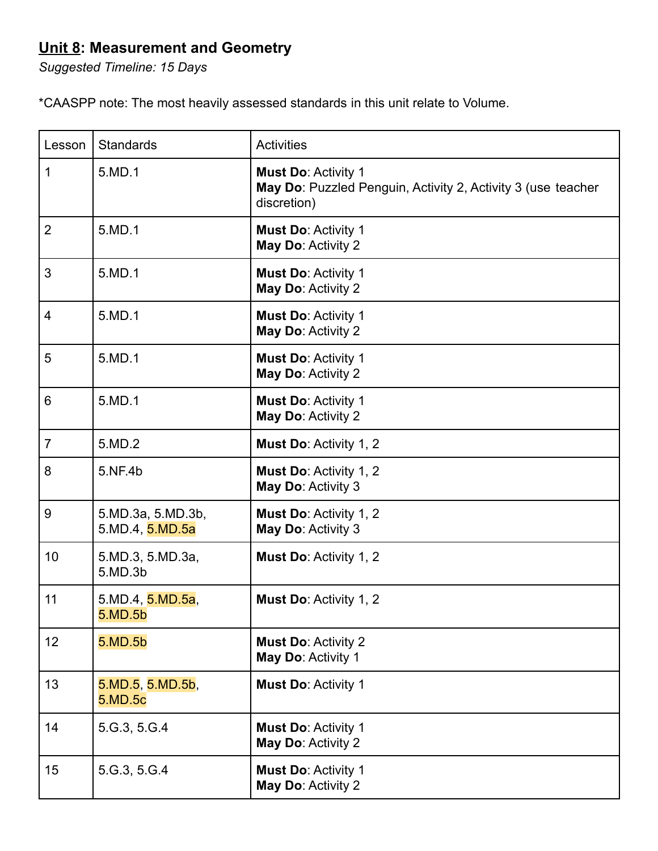### **Unit 8: Measurement and Geometry**

*Suggested Timeline: 15 Days*

\*CAASPP note: The most heavily assessed standards in this unit relate to Volume.

| Lesson         | <b>Standards</b>                     | <b>Activities</b>                                                                                         |
|----------------|--------------------------------------|-----------------------------------------------------------------------------------------------------------|
| 1              | 5.MD.1                               | <b>Must Do: Activity 1</b><br>May Do: Puzzled Penguin, Activity 2, Activity 3 (use teacher<br>discretion) |
| $\overline{2}$ | 5.MD.1                               | <b>Must Do: Activity 1</b><br>May Do: Activity 2                                                          |
| 3              | 5.MD.1                               | <b>Must Do: Activity 1</b><br>May Do: Activity 2                                                          |
| $\overline{4}$ | 5.MD.1                               | <b>Must Do: Activity 1</b><br>May Do: Activity 2                                                          |
| 5              | 5.MD.1                               | <b>Must Do: Activity 1</b><br>May Do: Activity 2                                                          |
| 6              | 5.MD.1                               | <b>Must Do: Activity 1</b><br>May Do: Activity 2                                                          |
| $\overline{7}$ | 5.MD.2                               | <b>Must Do: Activity 1, 2</b>                                                                             |
| 8              | 5.NF.4b                              | Must Do: Activity 1, 2<br>May Do: Activity 3                                                              |
| 9              | 5.MD.3a, 5.MD.3b,<br>5.MD.4, 5.MD.5a | Must Do: Activity 1, 2<br>May Do: Activity 3                                                              |
| 10             | 5.MD.3, 5.MD.3a,<br>5.MD.3b          | Must Do: Activity 1, 2                                                                                    |
| 11             | 5.MD.4, 5.MD.5a,<br>5.MD.5b          | <b>Must Do: Activity 1, 2</b>                                                                             |
| 12             | 5.MD.5b                              | <b>Must Do: Activity 2</b><br>May Do: Activity 1                                                          |
| 13             | 5.MD.5, 5.MD.5b,<br>5.MD.5c          | Must Do: Activity 1                                                                                       |
| 14             | 5 G.3, 5 G.4                         | <b>Must Do: Activity 1</b><br>May Do: Activity 2                                                          |
| 15             | 5.G.3, 5.G.4                         | Must Do: Activity 1<br>May Do: Activity 2                                                                 |